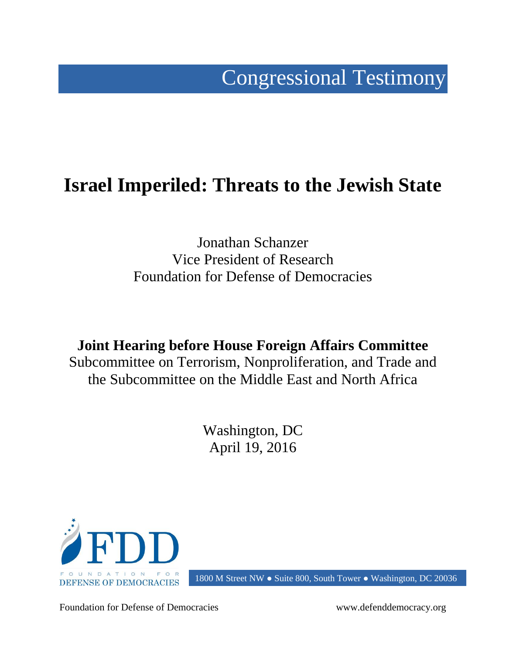# Congressional Testimony

# **Israel Imperiled: Threats to the Jewish State**

Jonathan Schanzer Vice President of Research Foundation for Defense of Democracies

**Joint Hearing before House Foreign Affairs Committee** Subcommittee on Terrorism, Nonproliferation, and Trade and the Subcommittee on the Middle East and North Africa

> Washington, DC April 19, 2016



1800 M Street NW ● Suite 800, South Tower ● Washington, DC 20036

Foundation for Defense of Democracies www.defenddemocracy.org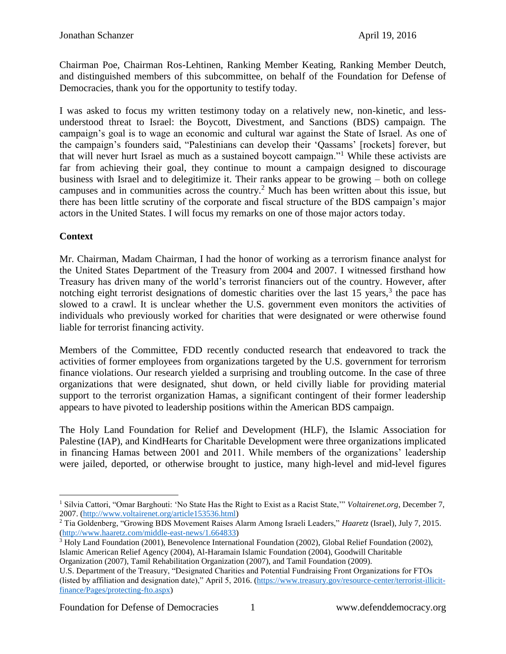Chairman Poe, Chairman Ros-Lehtinen, Ranking Member Keating, Ranking Member Deutch, and distinguished members of this subcommittee, on behalf of the Foundation for Defense of Democracies, thank you for the opportunity to testify today.

I was asked to focus my written testimony today on a relatively new, non-kinetic, and lessunderstood threat to Israel: the Boycott, Divestment, and Sanctions (BDS) campaign. The campaign's goal is to wage an economic and cultural war against the State of Israel. As one of the campaign's founders said, "Palestinians can develop their 'Qassams' [rockets] forever, but that will never hurt Israel as much as a sustained boycott campaign."<sup>1</sup> While these activists are far from achieving their goal, they continue to mount a campaign designed to discourage business with Israel and to delegitimize it. Their ranks appear to be growing – both on college campuses and in communities across the country.<sup>2</sup> Much has been written about this issue, but there has been little scrutiny of the corporate and fiscal structure of the BDS campaign's major actors in the United States. I will focus my remarks on one of those major actors today.

# **Context**

Mr. Chairman, Madam Chairman, I had the honor of working as a terrorism finance analyst for the United States Department of the Treasury from 2004 and 2007. I witnessed firsthand how Treasury has driven many of the world's terrorist financiers out of the country. However, after notching eight terrorist designations of domestic charities over the last 15 years, $3$  the pace has slowed to a crawl. It is unclear whether the U.S. government even monitors the activities of individuals who previously worked for charities that were designated or were otherwise found liable for terrorist financing activity.

Members of the Committee, FDD recently conducted research that endeavored to track the activities of former employees from organizations targeted by the U.S. government for terrorism finance violations. Our research yielded a surprising and troubling outcome. In the case of three organizations that were designated, shut down, or held civilly liable for providing material support to the terrorist organization Hamas, a significant contingent of their former leadership appears to have pivoted to leadership positions within the American BDS campaign.

The Holy Land Foundation for Relief and Development (HLF), the Islamic Association for Palestine (IAP), and KindHearts for Charitable Development were three organizations implicated in financing Hamas between 2001 and 2011. While members of the organizations' leadership were jailed, deported, or otherwise brought to justice, many high-level and mid-level figures

<sup>3</sup> Holy Land Foundation (2001), Benevolence International Foundation (2002), Global Relief Foundation (2002), Islamic American Relief Agency (2004), Al-Haramain Islamic Foundation (2004), Goodwill Charitable

Organization (2007), Tamil Rehabilitation Organization (2007), and Tamil Foundation (2009). U.S. Department of the Treasury, "Designated Charities and Potential Fundraising Front Organizations for FTOs

 $\overline{a}$ <sup>1</sup> Silvia Cattori, "Omar Barghouti: 'No State Has the Right to Exist as a Racist State," *Voltairenet.org*, December 7, 2007. [\(http://www.voltairenet.org/article153536.html\)](http://www.voltairenet.org/article153536.html)

<sup>2</sup> Tia Goldenberg, "Growing BDS Movement Raises Alarm Among Israeli Leaders," *Haaretz* (Israel), July 7, 2015. [\(http://www.haaretz.com/middle-east-news/1.664833\)](http://www.haaretz.com/middle-east-news/1.664833)

<sup>(</sup>listed by affiliation and designation date)," April 5, 2016. [\(https://www.treasury.gov/resource-center/terrorist-illicit](https://www.treasury.gov/resource-center/terrorist-illicit-finance/Pages/protecting-fto.aspx)[finance/Pages/protecting-fto.aspx\)](https://www.treasury.gov/resource-center/terrorist-illicit-finance/Pages/protecting-fto.aspx)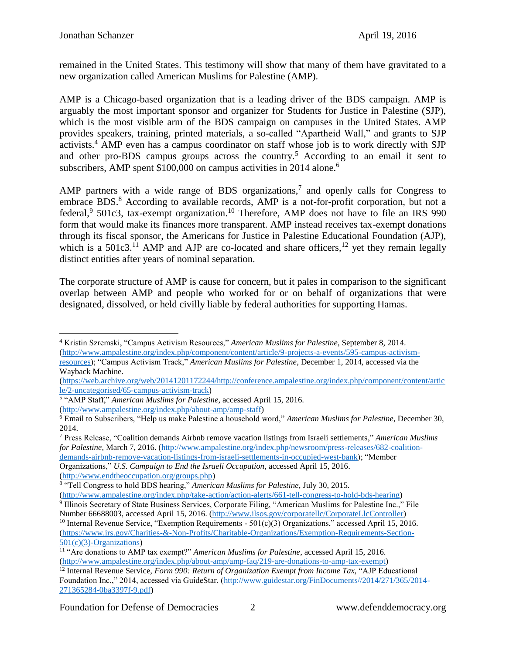remained in the United States. This testimony will show that many of them have gravitated to a new organization called American Muslims for Palestine (AMP).

AMP is a Chicago-based organization that is a leading driver of the BDS campaign. AMP is arguably the most important sponsor and organizer for Students for Justice in Palestine (SJP), which is the most visible arm of the BDS campaign on campuses in the United States. AMP provides speakers, training, printed materials, a so-called "Apartheid Wall," and grants to SJP activists.<sup>4</sup> AMP even has a campus coordinator on staff whose job is to work directly with SJP and other pro-BDS campus groups across the country.<sup>5</sup> According to an email it sent to subscribers, AMP spent \$100,000 on campus activities in 2014 alone.<sup>6</sup>

AMP partners with a wide range of BDS organizations,<sup>7</sup> and openly calls for Congress to embrace BDS. $<sup>8</sup>$  According to available records, AMP is a not-for-profit corporation, but not a</sup> federal,<sup>9</sup> 501c3, tax-exempt organization.<sup>10</sup> Therefore, AMP does not have to file an IRS 990 form that would make its finances more transparent. AMP instead receives tax-exempt donations through its fiscal sponsor, the Americans for Justice in Palestine Educational Foundation (AJP), which is a  $501c3$ .<sup>11</sup> AMP and AJP are co-located and share officers,<sup>12</sup> yet they remain legally distinct entities after years of nominal separation.

The corporate structure of AMP is cause for concern, but it pales in comparison to the significant overlap between AMP and people who worked for or on behalf of organizations that were designated, dissolved, or held civilly liable by federal authorities for supporting Hamas.

<sup>7</sup> Press Release, "Coalition demands Airbnb remove vacation listings from Israeli settlements," *American Muslims for Palestine*, March 7, 2016. [\(http://www.ampalestine.org/index.php/newsroom/press-releases/682-coalition](http://www.ampalestine.org/index.php/newsroom/press-releases/682-coalition-demands-airbnb-remove-vacation-listings-from-israeli-settlements-in-occupied-west-bank)[demands-airbnb-remove-vacation-listings-from-israeli-settlements-in-occupied-west-bank\)](http://www.ampalestine.org/index.php/newsroom/press-releases/682-coalition-demands-airbnb-remove-vacation-listings-from-israeli-settlements-in-occupied-west-bank); "Member Organizations," *U.S. Campaign to End the Israeli Occupation*, accessed April 15, 2016. [\(http://www.endtheoccupation.org/groups.php\)](http://www.endtheoccupation.org/groups.php)

<sup>10</sup> Internal Revenue Service, "Exemption Requirements -  $501(c)(3)$  Organizations," accessed April 15, 2016. [\(https://www.irs.gov/Charities-&-Non-Profits/Charitable-Organizations/Exemption-Requirements-Section-](https://www.irs.gov/Charities-&-Non-Profits/Charitable-Organizations/Exemption-Requirements-Section-501(c)(3)-Organizations)[501\(c\)\(3\)-Organizations\)](https://www.irs.gov/Charities-&-Non-Profits/Charitable-Organizations/Exemption-Requirements-Section-501(c)(3)-Organizations)

 $\overline{a}$ <sup>4</sup> Kristin Szremski, "Campus Activism Resources," *American Muslims for Palestine*, September 8, 2014. [\(http://www.ampalestine.org/index.php/component/content/article/9-projects-a-events/595-campus-activism-](http://www.ampalestine.org/index.php/component/content/article/9-projects-a-events/595-campus-activism-resources)

[resources\)](http://www.ampalestine.org/index.php/component/content/article/9-projects-a-events/595-campus-activism-resources); "Campus Activism Track," *American Muslims for Palestine*, December 1, 2014, accessed via the Wayback Machine.

[<sup>\(</sup>https://web.archive.org/web/20141201172244/http://conference.ampalestine.org/index.php/component/content/artic](https://web.archive.org/web/20141201172244/http:/conference.ampalestine.org/index.php/component/content/article/2-uncategorised/65-campus-activism-track) [le/2-uncategorised/65-campus-activism-track\)](https://web.archive.org/web/20141201172244/http:/conference.ampalestine.org/index.php/component/content/article/2-uncategorised/65-campus-activism-track)

<sup>5</sup> "AMP Staff," *American Muslims for Palestine*, accessed April 15, 2016.

[<sup>\(</sup>http://www.ampalestine.org/index.php/about-amp/amp-staff\)](http://www.ampalestine.org/index.php/about-amp/amp-staff)

<sup>6</sup> Email to Subscribers, "Help us make Palestine a household word," *American Muslims for Palestine*, December 30, 2014.

<sup>8</sup> "Tell Congress to hold BDS hearing," *American Muslims for Palestine*, July 30, 2015. [\(http://www.ampalestine.org/index.php/take-action/action-alerts/661-tell-congress-to-hold-bds-hearing\)](http://www.ampalestine.org/index.php/take-action/action-alerts/661-tell-congress-to-hold-bds-hearing)

<sup>9</sup> Illinois Secretary of State Business Services, Corporate Filing, "American Muslims for Palestine Inc.," File Number 66688003, accessed April 15, 2016. [\(http://www.ilsos.gov/corporatellc/CorporateLlcController\)](http://www.ilsos.gov/corporatellc/CorporateLlcController)

<sup>11</sup> "Are donations to AMP tax exempt?" *American Muslims for Palestine*, accessed April 15, 2016.

[<sup>\(</sup>http://www.ampalestine.org/index.php/about-amp/amp-faq/219-are-donations-to-amp-tax-exempt\)](http://www.ampalestine.org/index.php/about-amp/amp-faq/219-are-donations-to-amp-tax-exempt) <sup>12</sup> Internal Revenue Service, *Form 990: Return of Organization Exempt from Income Tax,* "AJP Educational Foundation Inc.," 2014, accessed via GuideStar. [\(http://www.guidestar.org/FinDocuments//2014/271/365/2014-](http://www.guidestar.org/FinDocuments/2014/271/365/2014-271365284-0ba3397f-9.pdf) [271365284-0ba3397f-9.pdf\)](http://www.guidestar.org/FinDocuments/2014/271/365/2014-271365284-0ba3397f-9.pdf)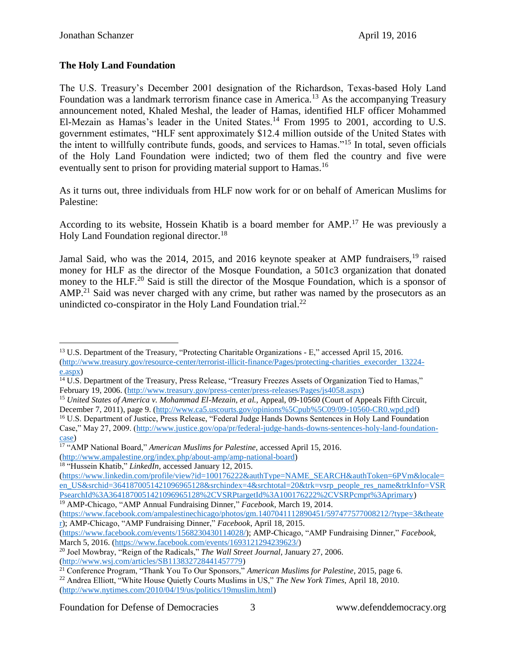# **The Holy Land Foundation**

The U.S. Treasury's December 2001 designation of the Richardson, Texas-based Holy Land Foundation was a landmark terrorism finance case in America.<sup>13</sup> As the accompanying Treasury announcement noted, Khaled Meshal, the leader of Hamas, identified HLF officer Mohammed El-Mezain as Hamas's leader in the United States.<sup>14</sup> From 1995 to 2001, according to U.S. government estimates, "HLF sent approximately \$12.4 million outside of the United States with the intent to willfully contribute funds, goods, and services to Hamas."<sup>15</sup> In total, seven officials of the Holy Land Foundation were indicted; two of them fled the country and five were eventually sent to prison for providing material support to Hamas.<sup>16</sup>

As it turns out, three individuals from HLF now work for or on behalf of American Muslims for Palestine:

According to its website, Hossein Khatib is a board member for AMP.<sup>17</sup> He was previously a Holy Land Foundation regional director.<sup>18</sup>

Jamal Said, who was the 2014, 2015, and 2016 keynote speaker at AMP fundraisers.<sup>19</sup> raised money for HLF as the director of the Mosque Foundation, a 501c3 organization that donated money to the HLF.<sup>20</sup> Said is still the director of the Mosque Foundation, which is a sponsor of AMP.<sup>21</sup> Said was never charged with any crime, but rather was named by the prosecutors as an unindicted co-conspirator in the Holy Land Foundation trial. $^{22}$ 

 $\overline{a}$ <sup>13</sup> U.S. Department of the Treasury, "Protecting Charitable Organizations - E," accessed April 15, 2016. [\(http://www.treasury.gov/resource-center/terrorist-illicit-finance/Pages/protecting-charities\\_execorder\\_13224](http://www.treasury.gov/resource-center/terrorist-illicit-finance/Pages/protecting-charities_execorder_13224-e.aspx) [e.aspx\)](http://www.treasury.gov/resource-center/terrorist-illicit-finance/Pages/protecting-charities_execorder_13224-e.aspx)

<sup>&</sup>lt;sup>14</sup> U.S. Department of the Treasury, Press Release, "Treasury Freezes Assets of Organization Tied to Hamas," February 19, 2006. [\(http://www.treasury.gov/press-center/press-releases/Pages/js4058.aspx\)](http://www.treasury.gov/press-center/press-releases/Pages/js4058.aspx)

<sup>&</sup>lt;sup>15</sup> *United States of America v. Mohammad El-Mezain, et al., Appeal, 09-10560 (Court of Appeals Fifth Circuit,* December 7, 2011), page 9. [\(http://www.ca5.uscourts.gov/opinions%5Cpub%5C09/09-10560-CR0.wpd.pdf\)](http://www.ca5.uscourts.gov/opinions%5Cpub%5C09/09-10560-CR0.wpd.pdf)

<sup>&</sup>lt;sup>16</sup> U.S. Department of Justice, Press Release, "Federal Judge Hands Downs Sentences in Holy Land Foundation Case," May 27, 2009. [\(http://www.justice.gov/opa/pr/federal-judge-hands-downs-sentences-holy-land-foundation](http://www.justice.gov/opa/pr/federal-judge-hands-downs-sentences-holy-land-foundation-case)[case\)](http://www.justice.gov/opa/pr/federal-judge-hands-downs-sentences-holy-land-foundation-case)

<sup>17</sup> "AMP National Board," *American Muslims for Palestine*, accessed April 15, 2016. [\(http://www.ampalestine.org/index.php/about-amp/amp-national-board\)](http://www.ampalestine.org/index.php/about-amp/amp-national-board)

<sup>18</sup> "Hussein Khatib," *LinkedIn*, accessed January 12, 2015.

[<sup>\(</sup>https://www.linkedin.com/profile/view?id=100176222&authType=NAME\\_SEARCH&authToken=6PVm&locale=](https://www.linkedin.com/profile/view?id=100176222&authType=NAME_SEARCH&authToken=6PVm&locale=en_US&srchid=3641870051421096965128&srchindex=4&srchtotal=20&trk=vsrp_people_res_name&trkInfo=VSRPsearchId%3A3641870051421096965128%2CVSRPtargetId%3A100176222%2CVSRPcmpt%3Aprimary) [en\\_US&srchid=3641870051421096965128&srchindex=4&srchtotal=20&trk=vsrp\\_people\\_res\\_name&trkInfo=VSR](https://www.linkedin.com/profile/view?id=100176222&authType=NAME_SEARCH&authToken=6PVm&locale=en_US&srchid=3641870051421096965128&srchindex=4&srchtotal=20&trk=vsrp_people_res_name&trkInfo=VSRPsearchId%3A3641870051421096965128%2CVSRPtargetId%3A100176222%2CVSRPcmpt%3Aprimary) [PsearchId%3A3641870051421096965128%2CVSRPtargetId%3A100176222%2CVSRPcmpt%3Aprimary\)](https://www.linkedin.com/profile/view?id=100176222&authType=NAME_SEARCH&authToken=6PVm&locale=en_US&srchid=3641870051421096965128&srchindex=4&srchtotal=20&trk=vsrp_people_res_name&trkInfo=VSRPsearchId%3A3641870051421096965128%2CVSRPtargetId%3A100176222%2CVSRPcmpt%3Aprimary)

<sup>19</sup> AMP-Chicago, "AMP Annual Fundraising Dinner," *Facebook*, March 19, 2014.

[<sup>\(</sup>https://www.facebook.com/ampalestinechicago/photos/gm.1407041112890451/597477577008212/?type=3&theate](https://www.facebook.com/ampalestinechicago/photos/gm.1407041112890451/597477577008212/?type=3&theater) [r\)](https://www.facebook.com/ampalestinechicago/photos/gm.1407041112890451/597477577008212/?type=3&theater); AMP-Chicago, "AMP Fundraising Dinner," *Facebook*, April 18, 2015.

[<sup>\(</sup>https://www.facebook.com/events/1568230430114028/\)](https://www.facebook.com/events/1568230430114028/); AMP-Chicago, "AMP Fundraising Dinner," *Facebook*, March 5, 2016. [\(https://www.facebook.com/events/1693121294239623/\)](https://www.facebook.com/events/1693121294239623/)

<sup>20</sup> Joel Mowbray, "Reign of the Radicals," *The Wall Street Journal*, January 27, 2006. [\(http://www.wsj.com/articles/SB113832728441457779\)](http://www.wsj.com/articles/SB113832728441457779)

<sup>21</sup> Conference Program, "Thank You To Our Sponsors," *American Muslims for Palestine*, 2015, page 6.

<sup>22</sup> Andrea Elliott, "White House Quietly Courts Muslims in US," *The New York Times*, April 18, 2010. [\(http://www.nytimes.com/2010/04/19/us/politics/19muslim.html\)](http://www.nytimes.com/2010/04/19/us/politics/19muslim.html)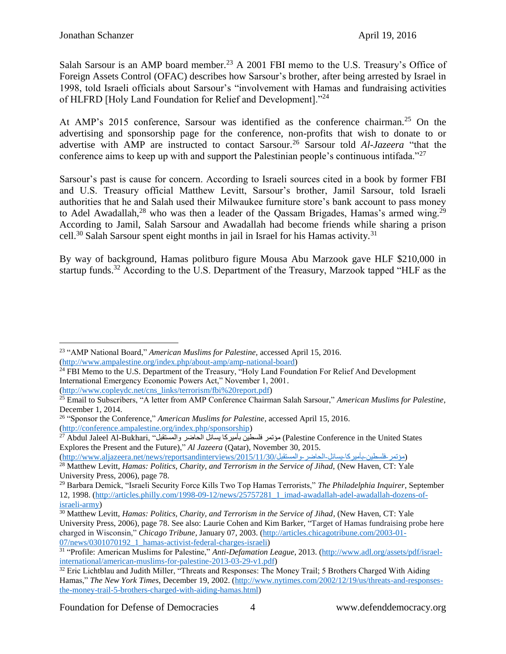Salah Sarsour is an AMP board member.<sup>23</sup> A 2001 FBI memo to the U.S. Treasury's Office of Foreign Assets Control (OFAC) describes how Sarsour's brother, after being arrested by Israel in 1998, told Israeli officials about Sarsour's "involvement with Hamas and fundraising activities of HLFRD [Holy Land Foundation for Relief and Development]."<sup>24</sup>

At AMP's 2015 conference, Sarsour was identified as the conference chairman.<sup>25</sup> On the advertising and sponsorship page for the conference, non-profits that wish to donate to or advertise with AMP are instructed to contact Sarsour.<sup>26</sup> Sarsour told *Al-Jazeera* "that the conference aims to keep up with and support the Palestinian people's continuous intifada."<sup>27</sup>

Sarsour's past is cause for concern. According to Israeli sources cited in a book by former FBI and U.S. Treasury official Matthew Levitt, Sarsour's brother, Jamil Sarsour, told Israeli authorities that he and Salah used their Milwaukee furniture store's bank account to pass money to Adel Awadallah,<sup>28</sup> who was then a leader of the Qassam Brigades, Hamas's armed wing.<sup>29</sup> According to Jamil, Salah Sarsour and Awadallah had become friends while sharing a prison cell.<sup>30</sup> Salah Sarsour spent eight months in jail in Israel for his Hamas activity.<sup>31</sup>

By way of background, Hamas politburo figure Mousa Abu Marzook gave HLF \$210,000 in startup funds.<sup>32</sup> According to the U.S. Department of the Treasury, Marzook tapped "HLF as the

[\(http://www.copleydc.net/cns\\_links/terrorism/fbi%20report.pdf\)](http://www.copleydc.net/cns_links/terrorism/fbi%20report.pdf)

Foundation for Defense of Democracies 4 www.defenddemocracy.org

 $\overline{a}$ <sup>23</sup> "AMP National Board," *American Muslims for Palestine*, accessed April 15, 2016. [\(http://www.ampalestine.org/index.php/about-amp/amp-national-board\)](http://www.ampalestine.org/index.php/about-amp/amp-national-board)

<sup>&</sup>lt;sup>24</sup> FBI Memo to the U.S. Department of the Treasury, "Holy Land Foundation For Relief And Development International Emergency Economic Powers Act," November 1, 2001.

<sup>25</sup> Email to Subscribers, "A letter from AMP Conference Chairman Salah Sarsour," *American Muslims for Palestine*, December 1, 2014.

<sup>26</sup> "Sponsor the Conference," *American Muslims for Palestine*, accessed April 15, 2016. [\(http://conference.ampalestine.org/index.php/sponsorship\)](http://conference.ampalestine.org/index.php/sponsorship)

<sup>27</sup> Abdul Jaleel Al-Bukhari, "والمستقبل الحاضر يسائل بأميركا فلسطين مؤتمر) Palestine Conference in the United States Explores the Present and the Future)," *Al Jazeera* (Qatar), November 30, 2015.

<sup>(</sup>مؤتمر-فلسطين-بأميركا-يسائل-الحاضر-والمستقبل/2015/11/30/http://www.aljazeera.net/news/reportsandinterviews/2015/11/30 <sup>28</sup> Matthew Levitt, *Hamas: Politics, Charity, and Terrorism in the Service of Jihad,* (New Haven, CT: Yale University Press, 2006), page 78.

<sup>29</sup> Barbara Demick, "Israeli Security Force Kills Two Top Hamas Terrorists," *The Philadelphia Inquirer*, September 12, 1998. [\(http://articles.philly.com/1998-09-12/news/25757281\\_1\\_imad-awadallah-adel-awadallah-dozens-of](http://articles.philly.com/1998-09-12/news/25757281_1_imad-awadallah-adel-awadallah-dozens-of-israeli-army)[israeli-army\)](http://articles.philly.com/1998-09-12/news/25757281_1_imad-awadallah-adel-awadallah-dozens-of-israeli-army)

<sup>30</sup> Matthew Levitt, *Hamas: Politics, Charity, and Terrorism in the Service of Jihad*, (New Haven, CT: Yale University Press, 2006), page 78. See also: Laurie Cohen and Kim Barker, "Target of Hamas fundraising probe here charged in Wisconsin," *Chicago Tribune*, January 07, 2003. [\(http://articles.chicagotribune.com/2003-01-](http://articles.chicagotribune.com/2003-01-07/news/0301070192_1_hamas-activist-federal-charges-israeli) [07/news/0301070192\\_1\\_hamas-activist-federal-charges-israeli\)](http://articles.chicagotribune.com/2003-01-07/news/0301070192_1_hamas-activist-federal-charges-israeli)

<sup>&</sup>lt;sup>31</sup> "Profile: American Muslims for Palestine," *Anti-Defamation League*, 2013. [\(http://www.adl.org/assets/pdf/israel](http://www.adl.org/assets/pdf/israel-international/american-muslims-for-palestine-2013-03-29-v1.pdf)[international/american-muslims-for-palestine-2013-03-29-v1.pdf\)](http://www.adl.org/assets/pdf/israel-international/american-muslims-for-palestine-2013-03-29-v1.pdf)

<sup>&</sup>lt;sup>32</sup> Eric Lichtblau and Judith Miller, "Threats and Responses: The Money Trail; 5 Brothers Charged With Aiding Hamas," *The New York Times*, December 19, 2002. [\(http://www.nytimes.com/2002/12/19/us/threats-and-responses](http://www.nytimes.com/2002/12/19/us/threats-and-responses-the-money-trail-5-brothers-charged-with-aiding-hamas.html)[the-money-trail-5-brothers-charged-with-aiding-hamas.html\)](http://www.nytimes.com/2002/12/19/us/threats-and-responses-the-money-trail-5-brothers-charged-with-aiding-hamas.html)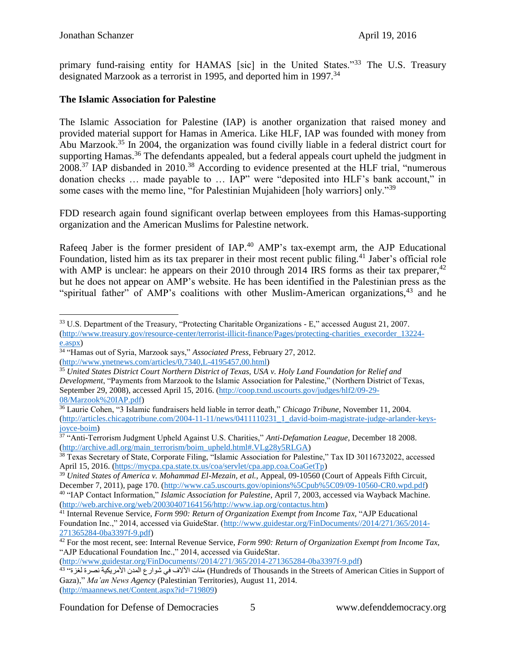primary fund-raising entity for HAMAS [sic] in the United States."<sup>33</sup> The U.S. Treasury designated Marzook as a terrorist in 1995, and deported him in 1997.<sup>34</sup>

#### **The Islamic Association for Palestine**

The Islamic Association for Palestine (IAP) is another organization that raised money and provided material support for Hamas in America. Like HLF, IAP was founded with money from Abu Marzook.<sup>35</sup> In 2004, the organization was found civilly liable in a federal district court for supporting Hamas.<sup>36</sup> The defendants appealed, but a federal appeals court upheld the judgment in 2008.<sup>37</sup> IAP disbanded in 2010.<sup>38</sup> According to evidence presented at the HLF trial, "numerous donation checks … made payable to … IAP" were "deposited into HLF's bank account," in some cases with the memo line, "for Palestinian Mujahideen [holy warriors] only."<sup>39</sup>

FDD research again found significant overlap between employees from this Hamas-supporting organization and the American Muslims for Palestine network.

Rafeeq Jaber is the former president of IAP.<sup>40</sup> AMP's tax-exempt arm, the AJP Educational Foundation, listed him as its tax preparer in their most recent public filing.<sup>41</sup> Jaber's official role with AMP is unclear: he appears on their 2010 through 2014 IRS forms as their tax preparer,  $42$ but he does not appear on AMP's website. He has been identified in the Palestinian press as the "spiritual father" of AMP's coalitions with other Muslim-American organizations,  $43$  and he

[\(http://www.guidestar.org/FinDocuments//2014/271/365/2014-271365284-0ba3397f-9.pdf\)](http://www.guidestar.org/FinDocuments/2014/271/365/2014-271365284-0ba3397f-9.pdf)

 $\overline{a}$ <sup>33</sup> U.S. Department of the Treasury, "Protecting Charitable Organizations - E," accessed August 21, 2007. [\(http://www.treasury.gov/resource-center/terrorist-illicit-finance/Pages/protecting-charities\\_execorder\\_13224](http://www.treasury.gov/resource-center/terrorist-illicit-finance/Pages/protecting-charities_execorder_13224-e.aspx) [e.aspx\)](http://www.treasury.gov/resource-center/terrorist-illicit-finance/Pages/protecting-charities_execorder_13224-e.aspx)

<sup>34</sup> "Hamas out of Syria, Marzook says," *Associated Press*, February 27, 2012. [\(http://www.ynetnews.com/articles/0,7340,L-4195457,00.html\)](http://www.ynetnews.com/articles/0,7340,L-4195457,00.html)

<sup>35</sup> *United States District Court Northern District of Texas, USA v. Holy Land Foundation for Relief and Development*, "Payments from Marzook to the Islamic Association for Palestine," (Northern District of Texas, September 29, 2008), accessed April 15, 2016. [\(http://coop.txnd.uscourts.gov/judges/hlf2/09-29-](http://coop.txnd.uscourts.gov/judges/hlf2/09-29-08/Marzook%20IAP.pdf) [08/Marzook%20IAP.pdf\)](http://coop.txnd.uscourts.gov/judges/hlf2/09-29-08/Marzook%20IAP.pdf)

<sup>36</sup> Laurie Cohen, "3 Islamic fundraisers held liable in terror death," *Chicago Tribune*, November 11, 2004. [\(http://articles.chicagotribune.com/2004-11-11/news/0411110231\\_1\\_david-boim-magistrate-judge-arlander-keys](http://articles.chicagotribune.com/2004-11-11/news/0411110231_1_david-boim-magistrate-judge-arlander-keys-joyce-boim)[joyce-boim\)](http://articles.chicagotribune.com/2004-11-11/news/0411110231_1_david-boim-magistrate-judge-arlander-keys-joyce-boim)

<sup>37</sup> "Anti-Terrorism Judgment Upheld Against U.S. Charities," *Anti-Defamation League*, December 18 2008. [\(http://archive.adl.org/main\\_terrorism/boim\\_upheld.html#.VLg28y5RLGA\)](http://archive.adl.org/main_terrorism/boim_upheld.html#.VLg28y5RLGA)

<sup>&</sup>lt;sup>38</sup> Texas Secretary of State, Corporate Filing, "Islamic Association for Palestine," Tax ID 30116732022, accessed April 15, 2016. [\(https://mycpa.cpa.state.tx.us/coa/servlet/cpa.app.coa.CoaGetTp\)](https://mycpa.cpa.state.tx.us/coa/servlet/cpa.app.coa.CoaGetTp)

<sup>&</sup>lt;sup>39</sup> United States of America v. Mohammad El-Mezain, et al., Appeal, 09-10560 (Court of Appeals Fifth Circuit, December 7, 2011), page 170. [\(http://www.ca5.uscourts.gov/opinions%5Cpub%5C09/09-10560-CR0.wpd.pdf\)](http://www.ca5.uscourts.gov/opinions%5Cpub%5C09/09-10560-CR0.wpd.pdf) <sup>40</sup> "IAP Contact Information," *Islamic Association for Palestine*, April 7, 2003, accessed via Wayback Machine. [\(http://web.archive.org/web/20030407164156/http://www.iap.org/contactus.htm\)](http://web.archive.org/web/20030407164156/http:/www.iap.org/contactus.htm)

<sup>41</sup> Internal Revenue Service, *Form 990: Return of Organization Exempt from Income Tax,* "AJP Educational Foundation Inc.," 2014, accessed via GuideStar. [\(http://www.guidestar.org/FinDocuments//2014/271/365/2014-](http://www.guidestar.org/FinDocuments/2014/271/365/2014-271365284-0ba3397f-9.pdf) [271365284-0ba3397f-9.pdf\)](http://www.guidestar.org/FinDocuments/2014/271/365/2014-271365284-0ba3397f-9.pdf)

<sup>42</sup> For the most recent, see: Internal Revenue Service, *Form 990: Return of Organization Exempt from Income Tax,* "AJP Educational Foundation Inc.," 2014, accessed via GuideStar.

<sup>43 &#</sup>x27;'لغزة نصرة الغزة '' Hundreds of Thousands in the Streets of American Cities in Support of مئات الألاف في شوارع المدن الأمريكية نصرة لغزة'' <sup>43</sup> Gaza)," *Ma'an News Agency* (Palestinian Territories), August 11, 2014. [\(http://maannews.net/Content.aspx?id=719809\)](http://maannews.net/Content.aspx?id=719809)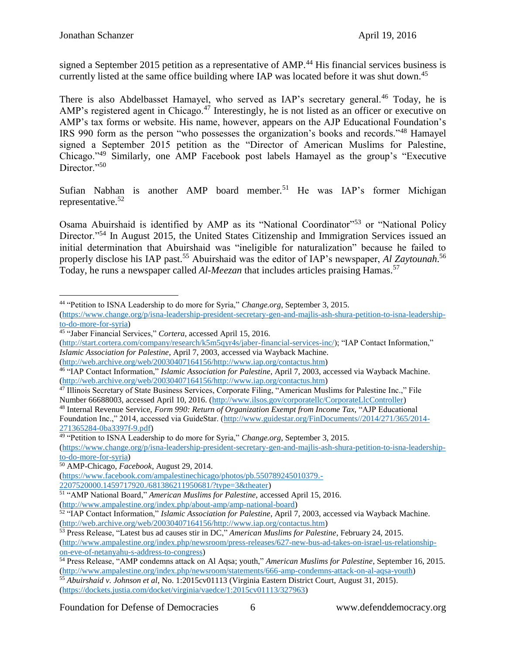signed a September 2015 petition as a representative of AMP.<sup>44</sup> His financial services business is currently listed at the same office building where IAP was located before it was shut down.<sup>45</sup>

There is also Abdelbasset Hamayel, who served as IAP's secretary general.<sup>46</sup> Today, he is AMP's registered agent in Chicago.<sup>47</sup> Interestingly, he is not listed as an officer or executive on AMP's tax forms or website. His name, however, appears on the AJP Educational Foundation's IRS 990 form as the person "who possesses the organization's books and records."<sup>48</sup> Hamayel signed a September 2015 petition as the "Director of American Muslims for Palestine, Chicago."<sup>49</sup> Similarly, one AMP Facebook post labels Hamayel as the group's "Executive Director."<sup>50</sup>

Sufian Nabhan is another AMP board member.<sup>51</sup> He was IAP's former Michigan representative.<sup>52</sup>

Osama Abuirshaid is identified by AMP as its "National Coordinator"<sup>53</sup> or "National Policy Director."<sup>54</sup> In August 2015, the United States Citizenship and Immigration Services issued an initial determination that Abuirshaid was "ineligible for naturalization" because he failed to properly disclose his IAP past.<sup>55</sup> Abuirshaid was the editor of IAP's newspaper, *Al Zaytounah*.<sup>56</sup> Today, he runs a newspaper called *Al-Meezan* that includes articles praising Hamas. 57

[\(http://start.cortera.com/company/research/k5m5qyr4s/jaber-financial-services-inc/\)](http://start.cortera.com/company/research/k5m5qyr4s/jaber-financial-services-inc/); "IAP Contact Information," *Islamic Association for Palestine*, April 7, 2003, accessed via Wayback Machine.

<sup>48</sup> Internal Revenue Service, *Form 990: Return of Organization Exempt from Income Tax,* "AJP Educational Foundation Inc.," 2014, accessed via GuideStar. [\(http://www.guidestar.org/FinDocuments//2014/271/365/2014-](http://www.guidestar.org/FinDocuments/2014/271/365/2014-271365284-0ba3397f-9.pdf) [271365284-0ba3397f-9.pdf\)](http://www.guidestar.org/FinDocuments/2014/271/365/2014-271365284-0ba3397f-9.pdf)

<sup>49</sup> "Petition to ISNA Leadership to do more for Syria," *Change.org*, September 3, 2015.

[\(https://www.change.org/p/isna-leadership-president-secretary-gen-and-majlis-ash-shura-petition-to-isna-leadership](https://www.change.org/p/isna-leadership-president-secretary-gen-and-majlis-ash-shura-petition-to-isna-leadership-to-do-more-for-syria)[to-do-more-for-syria\)](https://www.change.org/p/isna-leadership-president-secretary-gen-and-majlis-ash-shura-petition-to-isna-leadership-to-do-more-for-syria)

<sup>50</sup> AMP-Chicago, *Facebook*, August 29, 2014.

[\(https://www.facebook.com/ampalestinechicago/photos/pb.550789245010379.-](https://www.facebook.com/ampalestinechicago/photos/pb.550789245010379.-2207520000.1459717920./681386211950681/?type=3&theater) [2207520000.1459717920./681386211950681/?type=3&theater\)](https://www.facebook.com/ampalestinechicago/photos/pb.550789245010379.-2207520000.1459717920./681386211950681/?type=3&theater)

 $\overline{a}$ <sup>44</sup> "Petition to ISNA Leadership to do more for Syria," *Change.org*, September 3, 2015.

[<sup>\(</sup>https://www.change.org/p/isna-leadership-president-secretary-gen-and-majlis-ash-shura-petition-to-isna-leadership](https://www.change.org/p/isna-leadership-president-secretary-gen-and-majlis-ash-shura-petition-to-isna-leadership-to-do-more-for-syria)[to-do-more-for-syria\)](https://www.change.org/p/isna-leadership-president-secretary-gen-and-majlis-ash-shura-petition-to-isna-leadership-to-do-more-for-syria)

<sup>45</sup> "Jaber Financial Services," *Cortera*, accessed April 15, 2016.

[<sup>\(</sup>http://web.archive.org/web/20030407164156/http://www.iap.org/contactus.htm\)](http://web.archive.org/web/20030407164156/http:/www.iap.org/contactus.htm)

<sup>46</sup> "IAP Contact Information," *Islamic Association for Palestine*, April 7, 2003, accessed via Wayback Machine. [\(http://web.archive.org/web/20030407164156/http://www.iap.org/contactus.htm\)](http://web.archive.org/web/20030407164156/http:/www.iap.org/contactus.htm)

<sup>&</sup>lt;sup>47</sup> Illinois Secretary of State Business Services, Corporate Filing, "American Muslims for Palestine Inc.," File Number 66688003, accessed April 10, 2016. [\(http://www.ilsos.gov/corporatellc/CorporateLlcController\)](http://www.ilsos.gov/corporatellc/CorporateLlcController)

<sup>51</sup> "AMP National Board," *American Muslims for Palestine*, accessed April 15, 2016.

[<sup>\(</sup>http://www.ampalestine.org/index.php/about-amp/amp-national-board\)](http://www.ampalestine.org/index.php/about-amp/amp-national-board)

<sup>52</sup> "IAP Contact Information," *Islamic Association for Palestine*, April 7, 2003, accessed via Wayback Machine. [\(http://web.archive.org/web/20030407164156/http://www.iap.org/contactus.htm\)](http://web.archive.org/web/20030407164156/http:/www.iap.org/contactus.htm)

<sup>53</sup> Press Release, "Latest bus ad causes stir in DC," *American Muslims for Palestine*, February 24, 2015. [\(http://www.ampalestine.org/index.php/newsroom/press-releases/627-new-bus-ad-takes-on-israel-us-relationship](http://www.ampalestine.org/index.php/newsroom/press-releases/627-new-bus-ad-takes-on-israel-us-relationship-on-eve-of-netanyahu-s-address-to-congress)[on-eve-of-netanyahu-s-address-to-congress\)](http://www.ampalestine.org/index.php/newsroom/press-releases/627-new-bus-ad-takes-on-israel-us-relationship-on-eve-of-netanyahu-s-address-to-congress)

<sup>54</sup> Press Release, "AMP condemns attack on Al Aqsa; youth," *American Muslims for Palestine*, September 16, 2015. [\(http://www.ampalestine.org/index.php/newsroom/statements/666-amp-condemns-attack-on-al-aqsa-youth\)](http://www.ampalestine.org/index.php/newsroom/statements/666-amp-condemns-attack-on-al-aqsa-youth)

<sup>55</sup> *Abuirshaid v. Johnson et al*, No. 1:2015cv01113 (Virginia Eastern District Court, August 31, 2015). [\(https://dockets.justia.com/docket/virginia/vaedce/1:2015cv01113/327963\)](https://dockets.justia.com/docket/virginia/vaedce/1:2015cv01113/327963)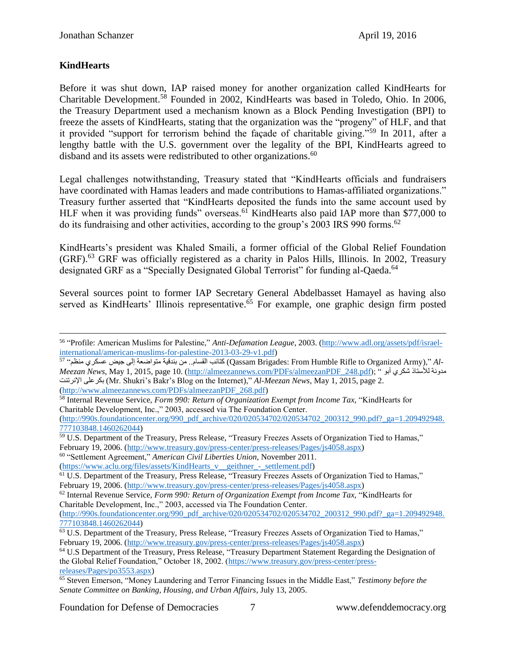## **KindHearts**

 $\overline{a}$ 

Before it was shut down, IAP raised money for another organization called KindHearts for Charitable Development.<sup>58</sup> Founded in 2002, KindHearts was based in Toledo, Ohio. In 2006, the Treasury Department used a mechanism known as a Block Pending Investigation (BPI) to freeze the assets of KindHearts, stating that the organization was the "progeny" of HLF, and that it provided "support for terrorism behind the façade of charitable giving."<sup>59</sup> In 2011, after a lengthy battle with the U.S. government over the legality of the BPI, KindHearts agreed to disband and its assets were redistributed to other organizations.<sup>60</sup>

Legal challenges notwithstanding, Treasury stated that "KindHearts officials and fundraisers have coordinated with Hamas leaders and made contributions to Hamas-affiliated organizations." Treasury further asserted that "KindHearts deposited the funds into the same account used by HLF when it was providing funds" overseas.<sup>61</sup> KindHearts also paid IAP more than \$77,000 to do its fundraising and other activities, according to the group's  $2003$  IRS 990 forms.<sup>62</sup>

KindHearts's president was Khaled Smaili, a former official of the Global Relief Foundation (GRF).<sup>63</sup> GRF was officially registered as a charity in Palos Hills, Illinois. In 2002, Treasury designated GRF as a "Specially Designated Global Terrorist" for funding al-Qaeda.<sup>64</sup>

Several sources point to former IAP Secretary General Abdelbasset Hamayel as having also served as KindHearts' Illinois representative.<sup> $65$ </sup> For example, one graphic design firm posted

<sup>58</sup> Internal Revenue Service, *Form 990: Return of Organization Exempt from Income Tax,* "KindHearts for Charitable Development, Inc.," 2003, accessed via The Foundation Center.

[\(http://990s.foundationcenter.org/990\\_pdf\\_archive/020/020534702/020534702\\_200312\\_990.pdf?\\_ga=1.209492948.](http://990s.foundationcenter.org/990_pdf_archive/020/020534702/020534702_200312_990.pdf?_ga=1.209492948.777103848.1460262044) [777103848.1460262044\)](http://990s.foundationcenter.org/990_pdf_archive/020/020534702/020534702_200312_990.pdf?_ga=1.209492948.777103848.1460262044)

<sup>60</sup> "Settlement Agreement," *American Civil Liberties Union*, November 2011.

(https://www.aclu.org/files/assets/KindHearts v\_geithner - settlement.pdf)

Foundation for Defense of Democracies 7 www.defenddemocracy.org

<sup>56</sup> "Profile: American Muslims for Palestine," *Anti-Defamation League*, 2003. [\(http://www.adl.org/assets/pdf/israel](http://www.adl.org/assets/pdf/israel-international/american-muslims-for-palestine-2013-03-29-v1.pdf)i<u>nternational/american-muslims-for-palestine-2013-03-29-v1.pdf</u>)<br><sup>57</sup> متاليب القسام.. من بندقية متواضعة إلى جيض عسكري منظم<sup>, 57</sup> (Qassam Brigades: From Humble Rifle to Organized Army)," *Al-*

*Meezan News*, May 1, 2015, page 10. [\(http://almeezannews.com/PDFs/almeezanPDF\\_248.pdf\)](http://almeezannews.com/PDFs/almeezanPDF_248.pdf); " أبو شكري لألستاذ مدونة اإلنرتنت بكرعلى) Mr. Shukri's Bakr's Blog on the Internet)," *Al-Meezan News*, May 1, 2015, page 2. [\(http://www.almeezannews.com/PDFs/almeezanPDF\\_268.pdf\)](http://www.almeezannews.com/PDFs/almeezanPDF_268.pdf)

<sup>&</sup>lt;sup>59</sup> U.S. Department of the Treasury, Press Release, "Treasury Freezes Assets of Organization Tied to Hamas," February 19, 2006. [\(http://www.treasury.gov/press-center/press-releases/Pages/js4058.aspx\)](http://www.treasury.gov/press-center/press-releases/Pages/js4058.aspx)

<sup>&</sup>lt;sup>61</sup> U.S. Department of the Treasury, Press Release, "Treasury Freezes Assets of Organization Tied to Hamas," February 19, 2006. [\(http://www.treasury.gov/press-center/press-releases/Pages/js4058.aspx\)](http://www.treasury.gov/press-center/press-releases/Pages/js4058.aspx)

<sup>62</sup> Internal Revenue Service, *Form 990: Return of Organization Exempt from Income Tax,* "KindHearts for Charitable Development, Inc.," 2003, accessed via The Foundation Center.

[<sup>\(</sup>http://990s.foundationcenter.org/990\\_pdf\\_archive/020/020534702/020534702\\_200312\\_990.pdf?\\_ga=1.209492948.](http://990s.foundationcenter.org/990_pdf_archive/020/020534702/020534702_200312_990.pdf?_ga=1.209492948.777103848.1460262044) [777103848.1460262044\)](http://990s.foundationcenter.org/990_pdf_archive/020/020534702/020534702_200312_990.pdf?_ga=1.209492948.777103848.1460262044)

<sup>63</sup> U.S. Department of the Treasury, Press Release, "Treasury Freezes Assets of Organization Tied to Hamas," February 19, 2006. [\(http://www.treasury.gov/press-center/press-releases/Pages/js4058.aspx\)](http://www.treasury.gov/press-center/press-releases/Pages/js4058.aspx)

<sup>64</sup> U.S Department of the Treasury, Press Release, "Treasury Department Statement Regarding the Designation of the Global Relief Foundation," October 18, 2002. [\(https://www.treasury.gov/press-center/press](https://www.treasury.gov/press-center/press-releases/Pages/po3553.aspx)[releases/Pages/po3553.aspx\)](https://www.treasury.gov/press-center/press-releases/Pages/po3553.aspx)

<sup>65</sup> Steven Emerson, "Money Laundering and Terror Financing Issues in the Middle East," *Testimony before the Senate Committee on Banking, Housing, and Urban Affairs*, July 13, 2005.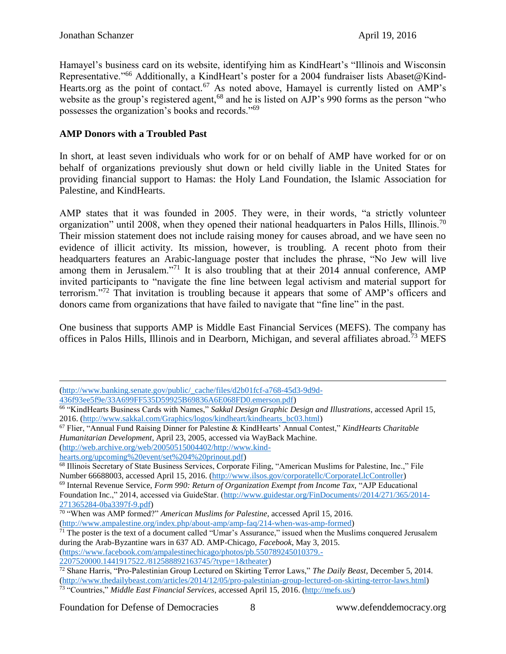$\overline{a}$ 

Hamayel's business card on its website, identifying him as KindHeart's "Illinois and Wisconsin Representative."<sup>66</sup> Additionally, a KindHeart's poster for a 2004 fundraiser lists Abaset@Kind-Hearts.org as the point of contact.<sup>67</sup> As noted above, Hamayel is currently listed on AMP's website as the group's registered agent,<sup>68</sup> and he is listed on AJP's 990 forms as the person "who possesses the organization's books and records."<sup>69</sup>

# **AMP Donors with a Troubled Past**

In short, at least seven individuals who work for or on behalf of AMP have worked for or on behalf of organizations previously shut down or held civilly liable in the United States for providing financial support to Hamas: the Holy Land Foundation, the Islamic Association for Palestine, and KindHearts.

AMP states that it was founded in 2005. They were, in their words, "a strictly volunteer organization" until 2008, when they opened their national headquarters in Palos Hills, Illinois.<sup>70</sup> Their mission statement does not include raising money for causes abroad, and we have seen no evidence of illicit activity. Its mission, however, is troubling. A recent photo from their headquarters features an Arabic-language poster that includes the phrase, "No Jew will live among them in Jerusalem."<sup>71</sup> It is also troubling that at their 2014 annual conference, AMP invited participants to "navigate the fine line between legal activism and material support for terrorism."<sup>72</sup> That invitation is troubling because it appears that some of AMP's officers and donors came from organizations that have failed to navigate that "fine line" in the past.

One business that supports AMP is Middle East Financial Services (MEFS). The company has offices in Palos Hills, Illinois and in Dearborn, Michigan, and several affiliates abroad.<sup>73</sup> MEFS

Foundation for Defense of Democracies 8 www.defenddemocracy.org

[<sup>\(</sup>http://www.banking.senate.gov/public/\\_cache/files/d2b01fcf-a768-45d3-9d9d-](http://www.banking.senate.gov/public/_cache/files/d2b01fcf-a768-45d3-9d9d-436f93ee5f9e/33A699FF535D59925B69836A6E068FD0.emerson.pdf)

[<sup>436</sup>f93ee5f9e/33A699FF535D59925B69836A6E068FD0.emerson.pdf\)](http://www.banking.senate.gov/public/_cache/files/d2b01fcf-a768-45d3-9d9d-436f93ee5f9e/33A699FF535D59925B69836A6E068FD0.emerson.pdf)

<sup>66</sup> "KindHearts Business Cards with Names," *Sakkal Design Graphic Design and Illustrations*, accessed April 15, 2016. [\(http://www.sakkal.com/Graphics/logos/kindheart/kindhearts\\_bc03.html\)](http://www.sakkal.com/Graphics/logos/kindheart/kindhearts_bc03.html)

<sup>67</sup> Flier, "Annual Fund Raising Dinner for Palestine & KindHearts' Annual Contest," *KindHearts Charitable Humanitarian Development*, April 23, 2005, accessed via WayBack Machine.

[<sup>\(</sup>http://web.archive.org/web/20050515004402/http://www.kind-](http://web.archive.org/web/20050515004402/http:/www.kind-hearts.org/upcoming%20event/set%204%20prinout.pdf)

[hearts.org/upcoming%20event/set%204%20prinout.pdf\)](http://web.archive.org/web/20050515004402/http:/www.kind-hearts.org/upcoming%20event/set%204%20prinout.pdf)

<sup>&</sup>lt;sup>68</sup> Illinois Secretary of State Business Services, Corporate Filing, "American Muslims for Palestine, Inc.," File Number 66688003, accessed April 15, 2016. [\(http://www.ilsos.gov/corporatellc/CorporateLlcController\)](http://www.ilsos.gov/corporatellc/CorporateLlcController)

<sup>69</sup> Internal Revenue Service, *Form 990: Return of Organization Exempt from Income Tax,* "AJP Educational Foundation Inc.," 2014, accessed via GuideStar. [\(http://www.guidestar.org/FinDocuments//2014/271/365/2014-](http://www.guidestar.org/FinDocuments/2014/271/365/2014-271365284-0ba3397f-9.pdf) [271365284-0ba3397f-9.pdf\)](http://www.guidestar.org/FinDocuments/2014/271/365/2014-271365284-0ba3397f-9.pdf)

<sup>70</sup> "When was AMP formed?" *American Muslims for Palestine*, accessed April 15, 2016. [\(http://www.ampalestine.org/index.php/about-amp/amp-faq/214-when-was-amp-formed\)](http://www.ampalestine.org/index.php/about-amp/amp-faq/214-when-was-amp-formed)

 $71$  The poster is the text of a document called "Umar's Assurance," issued when the Muslims conquered Jerusalem during the Arab-Byzantine wars in 637 AD. AMP-Chicago, *Facebook*, May 3, 2015. [\(https://www.facebook.com/ampalestinechicago/photos/pb.550789245010379.-](https://www.facebook.com/ampalestinechicago/photos/pb.550789245010379.-2207520000.1441917522./812588892163745/?type=1&theater)

[<sup>2207520000.1441917522./812588892163745/?</sup>type=1&theater\)](https://www.facebook.com/ampalestinechicago/photos/pb.550789245010379.-2207520000.1441917522./812588892163745/?type=1&theater)

<sup>72</sup> Shane Harris, "Pro-Palestinian Group Lectured on Skirting Terror Laws," *The Daily Beast*, December 5, 2014. [\(http://www.thedailybeast.com/articles/2014/12/05/pro-palestinian-group-lectured-on-skirting-terror-laws.html\)](http://www.thedailybeast.com/articles/2014/12/05/pro-palestinian-group-lectured-on-skirting-terror-laws.html) 73 "Countries," *Middle East Financial Services*, accessed April 15, 2016. [\(http://mefs.us/\)](http://mefs.us/)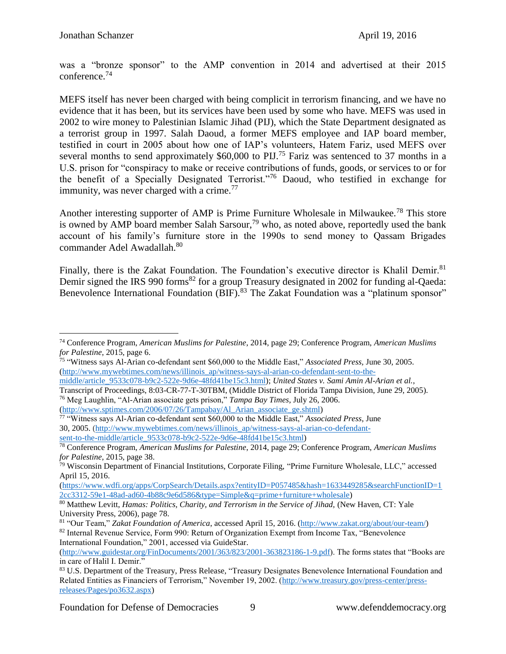$\overline{a}$ 

was a "bronze sponsor" to the AMP convention in 2014 and advertised at their 2015 conference.<sup>74</sup>

MEFS itself has never been charged with being complicit in terrorism financing, and we have no evidence that it has been, but its services have been used by some who have. MEFS was used in 2002 to wire money to Palestinian Islamic Jihad (PIJ), which the State Department designated as a terrorist group in 1997. Salah Daoud, a former MEFS employee and IAP board member, testified in court in 2005 about how one of IAP's volunteers, Hatem Fariz, used MEFS over several months to send approximately \$60,000 to PIJ.<sup>75</sup> Fariz was sentenced to 37 months in a U.S. prison for "conspiracy to make or receive contributions of funds, goods, or services to or for the benefit of a Specially Designated Terrorist."<sup>76</sup> Daoud, who testified in exchange for immunity, was never charged with a crime. $^{77}$ 

Another interesting supporter of AMP is Prime Furniture Wholesale in Milwaukee.<sup>78</sup> This store is owned by AMP board member Salah Sarsour,<sup>79</sup> who, as noted above, reportedly used the bank account of his family's furniture store in the 1990s to send money to Qassam Brigades commander Adel Awadallah.<sup>80</sup>

Finally, there is the Zakat Foundation. The Foundation's executive director is Khalil Demir.<sup>81</sup> Demir signed the IRS 990 forms<sup>82</sup> for a group Treasury designated in 2002 for funding al-Qaeda: Benevolence International Foundation  $(BIF)$ <sup>83</sup>. The Zakat Foundation was a "platinum sponsor"

*for Palestine*, 2015, page 6. 75 "Witness says Al-Arian co-defendant sent \$60,000 to the Middle East," *Associated Press,* June 30, 2005. [\(http://www.mywebtimes.com/news/illinois\\_ap/witness-says-al-arian-co-defendant-sent-to-the-](http://www.mywebtimes.com/news/illinois_ap/witness-says-al-arian-co-defendant-sent-to-the-middle/article_9533c078-b9c2-522e-9d6e-48fd41be15c3.html)

[\(http://www.sptimes.com/2006/07/26/Tampabay/Al\\_Arian\\_associate\\_ge.shtml\)](http://www.sptimes.com/2006/07/26/Tampabay/Al_Arian_associate_ge.shtml)

International Foundation," 2001, accessed via GuideStar.

[\(http://www.guidestar.org/FinDocuments/2001/363/823/2001-363823186-1-9.pdf\)](http://www.guidestar.org/FinDocuments/2001/363/823/2001-363823186-1-9.pdf). The forms states that "Books are in care of Halil I. Demir."

<sup>74</sup> Conference Program, *American Muslims for Palestine*, 2014, page 29; Conference Program, *American Muslims* 

[middle/article\\_9533c078-b9c2-522e-9d6e-48fd41be15c3.html\)](http://www.mywebtimes.com/news/illinois_ap/witness-says-al-arian-co-defendant-sent-to-the-middle/article_9533c078-b9c2-522e-9d6e-48fd41be15c3.html); *United States v. Sami Amin Al-Arian et al.*, Transcript of Proceedings, 8:03-CR-77-T-30TBM, (Middle District of Florida Tampa Division, June 29, 2005). <sup>76</sup> Meg Laughlin, "Al-Arian associate gets prison," *Tampa Bay Times*, July 26, 2006.

<sup>77</sup> "Witness says Al-Arian co-defendant sent \$60,000 to the Middle East," *Associated Press*, June 30, 2005. [\(http://www.mywebtimes.com/news/illinois\\_ap/witness-says-al-arian-co-defendant](http://www.mywebtimes.com/news/illinois_ap/witness-says-al-arian-co-defendant-sent-to-the-middle/article_9533c078-b9c2-522e-9d6e-48fd41be15c3.html)[sent-to-the-middle/article\\_9533c078-b9c2-522e-9d6e-48fd41be15c3.html\)](http://www.mywebtimes.com/news/illinois_ap/witness-says-al-arian-co-defendant-sent-to-the-middle/article_9533c078-b9c2-522e-9d6e-48fd41be15c3.html)

<sup>78</sup> Conference Program, *American Muslims for Palestine*, 2014, page 29; Conference Program, *American Muslims for Palestine*, 2015, page 38.

 $79$  Wisconsin Department of Financial Institutions, Corporate Filing, "Prime Furniture Wholesale, LLC," accessed April 15, 2016.

[<sup>\(</sup>https://www.wdfi.org/apps/CorpSearch/Details.aspx?entityID=P057485&hash=1633449285&searchFunctionID=1](https://www.wdfi.org/apps/CorpSearch/Details.aspx?entityID=P057485&hash=1633449285&searchFunctionID=12cc3312-59e1-48ad-ad60-4b88c9e6d586&type=Simple&q=prime+furniture+wholesale) [2cc3312-59e1-48ad-ad60-4b88c9e6d586&type=Simple&q=prime+furniture+wholesale\)](https://www.wdfi.org/apps/CorpSearch/Details.aspx?entityID=P057485&hash=1633449285&searchFunctionID=12cc3312-59e1-48ad-ad60-4b88c9e6d586&type=Simple&q=prime+furniture+wholesale)

<sup>80</sup> Matthew Levitt, *Hamas: Politics, Charity, and Terrorism in the Service of Jihad,* (New Haven, CT: Yale University Press, 2006), page 78.

<sup>81</sup> "Our Team," *Zakat Foundation of America*, accessed April 15, 2016. [\(http://www.zakat.org/about/our-team/\)](http://www.zakat.org/about/our-team/) <sup>82</sup> Internal Revenue Service, Form 990: Return of Organization Exempt from Income Tax, "Benevolence

<sup>83</sup> U.S. Department of the Treasury, Press Release, "Treasury Designates Benevolence International Foundation and Related Entities as Financiers of Terrorism," November 19, 2002. [\(http://www.treasury.gov/press-center/press](http://www.treasury.gov/press-center/press-releases/Pages/po3632.aspx)[releases/Pages/po3632.aspx\)](http://www.treasury.gov/press-center/press-releases/Pages/po3632.aspx)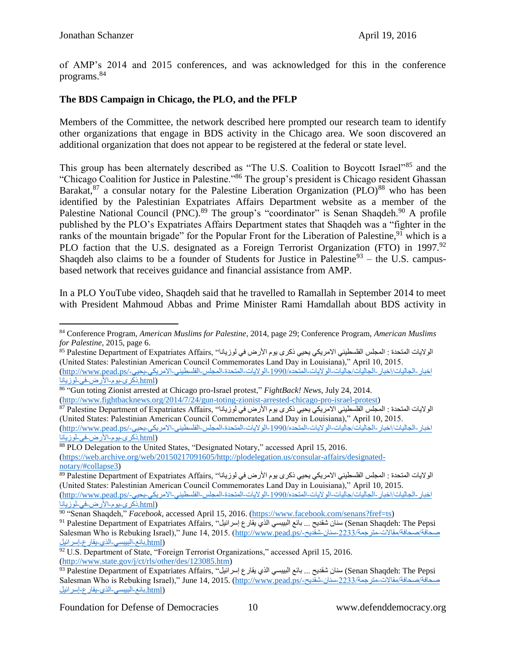of AMP's 2014 and 2015 conferences, and was acknowledged for this in the conference programs.<sup>84</sup>

## **The BDS Campaign in Chicago, the PLO, and the PFLP**

Members of the Committee, the network described here prompted our research team to identify other organizations that engage in BDS activity in the Chicago area. We soon discovered an additional organization that does not appear to be registered at the federal or state level.

This group has been alternately described as "The U.S. Coalition to Boycott Israel"<sup>85</sup> and the "Chicago Coalition for Justice in Palestine."<sup>86</sup> The group's president is Chicago resident Ghassan Barakat,  $87$  a consular notary for the Palestine Liberation Organization (PLO) $88$  who has been identified by the Palestinian Expatriates Affairs Department website as a member of the Palestine National Council (PNC).<sup>89</sup> The group's "coordinator" is Senan Shaqdeh.<sup>90</sup> A profile published by the PLO's Expatriates Affairs Department states that Shaqdeh was a "fighter in the ranks of the mountain brigade" for the Popular Front for the Liberation of Palestine,  $91$  which is a PLO faction that the U.S. designated as a Foreign Terrorist Organization (FTO) in 1997.<sup>92</sup> Shaqdeh also claims to be a founder of Students for Justice in Palestine<sup>93</sup> – the U.S. campusbased network that receives guidance and financial assistance from AMP.

In a PLO YouTube video, Shaqdeh said that he travelled to Ramallah in September 2014 to meet with President Mahmoud Abbas and Prime Minister Rami Hamdallah about BDS activity in

 $\overline{a}$ <sup>84</sup> Conference Program, *American Muslims for Palestine*, 2014, page 29; Conference Program, *American Muslims for Palestine*, 2015, page 6.

الولايات المتحدة : المجلس [الفلسطيني](http://www.pead.ps/%D8%A7%D8%AE%D8%A8%D8%A7%D8%B1-%D8%A7%D9%84%D8%AC%D8%A7%D9%84%D9%8A%D8%A7%D8%AA/%D8%A7%D8%AE%D8%A8%D8%A7%D8%B1-%D8%A7%D9%84%D8%AC%D8%A7%D9%84%D9%8A%D8%A7%D8%AA/%D8%AC%D8%A7%D9%84%D9%8A%D8%A7%D8%AA-%D8%A7%D9%84%D9%88%D9%84%D8%A7%D9%8A%D8%A7%D8%AA-%D8%A7%D9%84%D9%85%D8%AA%D8%AD%D8%AF%D9%87/1990-%D8%A7%D9%84%D9%88%D9%84%D8%A7%D9%8A%D8%A7%D8%AA-%D8%A7%D9%84%D9%85%D8%AA%D8%AD%D8%AF%D8%A9-%D8%A7%D9%84%D9%85%D8%AC%D9%84%D8%B3-%D8%A7%D9%84%D9%81%D9%84%D8%B3%D8%B7%D9%8A%D9%86%D9%8A-%D8%A7%D9%84%D8%A7%D9%85%D8%B1%D9%8A%D9%83%D9%8A-%D9%8A%D8%AD%D9%8A%D9%8A-%D8%B0%D9%83%D8%B1%D9%89-%D9%8A%D9%88%D9%85-%D8%A7%D9%84%D8%A3%D8%B1%D8%B6-%D9%81%D9%8A-%D9%84%D9%88%D8%B2%D9%8A%D8%A7%D9%86%D8%A7.html) الامريكي يحيي ذكرى يوم الأرض في لوزيانا'' ,Palestine Department of Expatriates Affairs في المريكي يحيي ذكرى يوم الأرض في لوزيانا المتحدة (United States: Palestinian American Council Commemorates Land Day in Louisiana)," April 10, 2015. [اخبار-الجاليات/اخبار-الجاليات/جاليات-الواليات-المتحده-1990/الواليات-المتحدة-المجلس-الفلسطيني-االمريكي-يحيي/-ps.pead.www://http\(](http://www.pead.ps/اخبار-الجاليات/اخبار-الجاليات/جاليات-الولايات-المتحده/1990-الولايات-المتحدة-المجلس-الفلسطيني-الامريكي-يحيي-ذكرى-يوم-الأرض-في-لوزيانا.html) [\(html.ذكرى-يوم-األرض-في-لوزيانا](http://www.pead.ps/اخبار-الجاليات/اخبار-الجاليات/جاليات-الولايات-المتحده/1990-الولايات-المتحدة-المجلس-الفلسطيني-الامريكي-يحيي-ذكرى-يوم-الأرض-في-لوزيانا.html)

<sup>86</sup> "Gun toting Zionist arrested at Chicago pro-Israel protest," *FightBack! News*, July 24, 2014. [\(http://www.fightbacknews.org/2014/7/24/gun-toting-zionist-arrested-chicago-pro-israel-protest\)](http://www.fightbacknews.org/2014/7/24/gun-toting-zionist-arrested-chicago-pro-israel-protest)

الواليات المتحدة : المجلس [الفلسطيني](http://www.pead.ps/%D8%A7%D8%AE%D8%A8%D8%A7%D8%B1-%D8%A7%D9%84%D8%AC%D8%A7%D9%84%D9%8A%D8%A7%D8%AA/%D8%A7%D8%AE%D8%A8%D8%A7%D8%B1-%D8%A7%D9%84%D8%AC%D8%A7%D9%84%D9%8A%D8%A7%D8%AA/%D8%AC%D8%A7%D9%84%D9%8A%D8%A7%D8%AA-%D8%A7%D9%84%D9%88%D9%84%D8%A7%D9%8A%D8%A7%D8%AA-%D8%A7%D9%84%D9%85%D8%AA%D8%AD%D8%AF%D9%87/1990-%D8%A7%D9%84%D9%88%D9%84%D8%A7%D9%8A%D8%A7%D8%AA-%D8%A7%D9%84%D9%85%D8%AA%D8%AD%D8%AF%D8%A9-%D8%A7%D9%84%D9%85%D8%AC%D9%84%D8%B3-%D8%A7%D9%84%D9%81%D9%84%D8%B3%D8%B7%D9%8A%D9%86%D9%8A-%D8%A7%D9%84%D8%A7%D9%85%D8%B1%D9%8A%D9%83%D9%8A-%D9%8A%D8%AD%D9%8A%D9%8A-%D8%B0%D9%83%D8%B1%D9%89-%D9%8A%D9%88%D9%85-%D8%A7%D9%84%D8%A3%D8%B1%D8%B6-%D9%81%D9%8A-%D9%84%D9%88%D8%B2%D9%8A%D8%A7%D9%86%D8%A7.html) االمريكي يحيي ذكرى يوم األرض في لوزيانا" ,Affairs Expatriates of Department Palestine <sup>87</sup> (United States: Palestinian American Council Commemorates Land Day in Louisiana)," April 10, 2015. اخبار -الجالبات/اخبار -الجاليات/جاليات-الولايات-المتحده/1990-الولايات-المتحدة-المجلس-الفلسطيني-الامريكي-يحيي-/http://www.pead.ps [\(html.ذكرى-يوم-األرض-في-لوزيانا](http://www.pead.ps/اخبار-الجاليات/اخبار-الجاليات/جاليات-الولايات-المتحده/1990-الولايات-المتحدة-المجلس-الفلسطيني-الامريكي-يحيي-ذكرى-يوم-الأرض-في-لوزيانا.html)

<sup>&</sup>lt;sup>88</sup> PLO Delegation to the United States, "Designated Notary," accessed April 15, 2016. [\(https://web.archive.org/web/20150217091605/http://plodelegation.us/consular-affairs/designated](https://web.archive.org/web/20150217091605/http:/plodelegation.us/consular-affairs/designated-notary/#collapse3)[notary/#collapse3\)](https://web.archive.org/web/20150217091605/http:/plodelegation.us/consular-affairs/designated-notary/#collapse3)

الولايات المتحدة : المجلس [الفلسطيني](http://www.pead.ps/%D8%A7%D8%AE%D8%A8%D8%A7%D8%B1-%D8%A7%D9%84%D8%AC%D8%A7%D9%84%D9%8A%D8%A7%D8%AA/%D8%A7%D8%AE%D8%A8%D8%A7%D8%B1-%D8%A7%D9%84%D8%AC%D8%A7%D9%84%D9%8A%D8%A7%D8%AA/%D8%AC%D8%A7%D9%84%D9%8A%D8%A7%D8%AA-%D8%A7%D9%84%D9%88%D9%84%D8%A7%D9%8A%D8%A7%D8%AA-%D8%A7%D9%84%D9%85%D8%AA%D8%AD%D8%AF%D9%87/1990-%D8%A7%D9%84%D9%88%D9%84%D8%A7%D9%8A%D8%A7%D8%AA-%D8%A7%D9%84%D9%85%D8%AA%D8%AD%D8%AF%D8%A9-%D8%A7%D9%84%D9%85%D8%AC%D9%84%D8%B3-%D8%A7%D9%84%D9%81%D9%84%D8%B3%D8%B7%D9%8A%D9%86%D9%8A-%D8%A7%D9%84%D8%A7%D9%85%D8%B1%D9%8A%D9%83%D9%8A-%D9%8A%D8%AD%D9%8A%D9%8A-%D8%B0%D9%83%D8%B1%D9%89-%D9%8A%D9%88%D9%85-%D8%A7%D9%84%D8%A3%D8%B1%D8%B6-%D9%81%D9%8A-%D9%84%D9%88%D8%B2%D9%8A%D8%A7%D9%86%D8%A7.html) الامريكي يحيي ذكرى يوم الأرض في لوزيانا'' ,Palestine Department of Expatriates Affairs فالمريكي (United States: Palestinian American Council Commemorates Land Day in Louisiana)," April 10, 2015. [اخبار-الجاليات/اخبار-الجاليات/جاليات-الواليات-المتحده-1990/الواليات-المتحدة-المجلس-الفلسطيني-االمريكي-يحيي/-ps.pead.www://http\(](http://www.pead.ps/اخبار-الجاليات/اخبار-الجاليات/جاليات-الولايات-المتحده/1990-الولايات-المتحدة-المجلس-الفلسطيني-الامريكي-يحيي-ذكرى-يوم-الأرض-في-لوزيانا.html) [\(html.ذكرى-يوم-األرض-في-لوزيانا](http://www.pead.ps/اخبار-الجاليات/اخبار-الجاليات/جاليات-الولايات-المتحده/1990-الولايات-المتحدة-المجلس-الفلسطيني-الامريكي-يحيي-ذكرى-يوم-الأرض-في-لوزيانا.html)

<sup>90</sup> "Senan Shaqdeh," *Facebook*, accessed April 15, 2016. [\(https://www.facebook.com/senans?fref=ts\)](https://www.facebook.com/senans?fref=ts)

<sup>91</sup> Palestine Department of Expatriates Affairs, "إيتبسي الذي يقارع إسرائيل". Palestine Department of Expatriates Affairs سنان شقديح ... بائع البيبسي الذي يقارع إسرائيل". Salesman Who is Rebuking Israel)," June 14, 2015. [\(http://www.pead.ps/-شقديح-سنان-2233/مترجمة-مقاالت/صحافة/صحافة](http://www.pead.ps/صحافة/صحافة/مقالات-مترجمة/2233-سنان-شقديح-بائع-البيبسي-الذي-يقارع-إسرائيل.html) [\(html.بائع-البيبسي-الذي-يقارع-إسرائيل](http://www.pead.ps/صحافة/صحافة/مقالات-مترجمة/2233-سنان-شقديح-بائع-البيبسي-الذي-يقارع-إسرائيل.html)

<sup>&</sup>lt;sup>92</sup> U.S. Department of State, "Foreign Terrorist Organizations," accessed April 15, 2016. [\(http://www.state.gov/j/ct/rls/other/des/123085.htm\)](http://www.state.gov/j/ct/rls/other/des/123085.htm)

<sup>93</sup> Palestine Department of Expatriates Affairs, "إسرائيل يقارع الذي البيبسي بائع ... شقديح سنان) Senan Shaqdeh: The Pepsi Salesman Who is Rebuking Israel)," June 14, 2015. (http://www.pead.ps/-شقديح-سنان-شقديح-2233/مترجمة-مقالات مقا (html.بائع-البيبسي-الذي-يقار ع-إسرائيل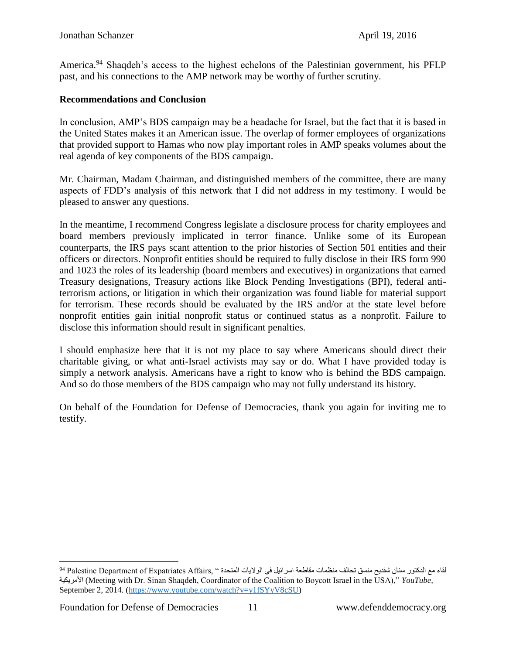America.<sup>94</sup> Shaqdeh's access to the highest echelons of the Palestinian government, his PFLP past, and his connections to the AMP network may be worthy of further scrutiny.

#### **Recommendations and Conclusion**

In conclusion, AMP's BDS campaign may be a headache for Israel, but the fact that it is based in the United States makes it an American issue. The overlap of former employees of organizations that provided support to Hamas who now play important roles in AMP speaks volumes about the real agenda of key components of the BDS campaign.

Mr. Chairman, Madam Chairman, and distinguished members of the committee, there are many aspects of FDD's analysis of this network that I did not address in my testimony. I would be pleased to answer any questions.

In the meantime, I recommend Congress legislate a disclosure process for charity employees and board members previously implicated in terror finance. Unlike some of its European counterparts, the IRS pays scant attention to the prior histories of Section 501 entities and their officers or directors. Nonprofit entities should be required to fully disclose in their IRS form 990 and 1023 the roles of its leadership (board members and executives) in organizations that earned Treasury designations, Treasury actions like Block Pending Investigations (BPI), federal antiterrorism actions, or litigation in which their organization was found liable for material support for terrorism. These records should be evaluated by the IRS and/or at the state level before nonprofit entities gain initial nonprofit status or continued status as a nonprofit. Failure to disclose this information should result in significant penalties.

I should emphasize here that it is not my place to say where Americans should direct their charitable giving, or what anti-Israel activists may say or do. What I have provided today is simply a network analysis. Americans have a right to know who is behind the BDS campaign. And so do those members of the BDS campaign who may not fully understand its history.

On behalf of the Foundation for Defense of Democracies, thank you again for inviting me to testify.

 $\overline{a}$ لقاء مع الدكتور سنان شقديح منسق تحالف منظمات مقاطعة اسرائيل في الولايات المتحدة " ,Palestine Department of Expatriates Affairs فاء األمريكية) Meeting with Dr. Sinan Shaqdeh, Coordinator of the Coalition to Boycott Israel in the USA)," *YouTube,*  September 2, 2014. [\(https://www.youtube.com/watch?v=y1fSYyV8cSU\)](https://www.youtube.com/watch?v=y1fSYyV8cSU)